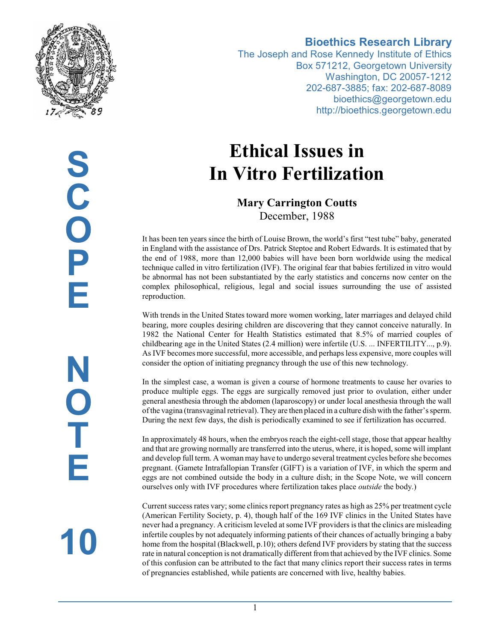

**Bioethics Research Library**

The Joseph and Rose Kennedy Institute of Ethics Box 571212, Georgetown University Washington, DC 20057-1212 202-687-3885; fax: 202-687-8089 bioethics@georgetown.edu http://bioethics.georgetown.edu

# **Ethical Issues in In Vitro Fertilization**

**Mary Carrington Coutts** December, 1988

It has been ten years since the birth of Louise Brown, the world's first "test tube" baby, generated in England with the assistance of Drs. Patrick Steptoe and Robert Edwards. It is estimated that by the end of 1988, more than 12,000 babies will have been born worldwide using the medical technique called in vitro fertilization (IVF). The original fear that babies fertilized in vitro would be abnormal has not been substantiated by the early statistics and concerns now center on the complex philosophical, religious, legal and social issues surrounding the use of assisted reproduction.

With trends in the United States toward more women working, later marriages and delayed child bearing, more couples desiring children are discovering that they cannot conceive naturally. In 1982 the National Center for Health Statistics estimated that 8.5% of married couples of childbearing age in the United States (2.4 million) were infertile (U.S. ... INFERTILITY..., p.9). As IVF becomes more successful, more accessible, and perhaps less expensive, more couples will consider the option of initiating pregnancy through the use of this new technology.

In the simplest case, a woman is given a course of hormone treatments to cause her ovaries to produce multiple eggs. The eggs are surgically removed just prior to ovulation, either under general anesthesia through the abdomen (laparoscopy) or under local anesthesia through the wall ofthe vagina (transvaginal retrieval). They are then placed in a culture dish with the father's sperm. During the next few days, the dish is periodically examined to see if fertilization has occurred.

In approximately 48 hours, when the embryos reach the eight-cell stage, those that appear healthy and that are growing normally are transferred into the uterus, where, it is hoped, some will implant and develop full term. A woman may have to undergo several treatment cycles before she becomes pregnant. (Gamete Intrafallopian Transfer (GIFT) is a variation of IVF, in which the sperm and eggs are not combined outside the body in a culture dish; in the Scope Note, we will concern ourselves only with IVF procedures where fertilization takes place *outside* the body.)

Current success rates vary; some clinics report pregnancy rates as high as 25% per treatment cycle (American Fertility Society, p. 4), though half of the 169 IVF clinics in the United States have never had a pregnancy. A criticism leveled at some IVF providers is that the clinics are misleading infertile couples by not adequately informing patients of their chances of actually bringing a baby home from the hospital (Blackwell, p.10); others defend IVF providers by stating that the success rate in natural conception is not dramatically different from that achieved by the IVF clinics. Some of this confusion can be attributed to the fact that many clinics report their success rates in terms of pregnancies established, while patients are concerned with live, healthy babies.

**10**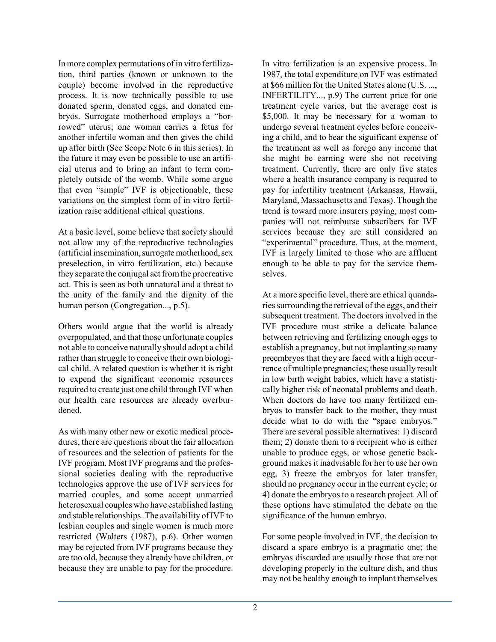In more complex permutations of in vitro fertilization, third parties (known or unknown to the couple) become involved in the reproductive process. It is now technically possible to use donated sperm, donated eggs, and donated embryos. Surrogate motherhood employs a "borrowed" uterus; one woman carries a fetus for another infertile woman and then gives the child up after birth (See Scope Note 6 in this series). In the future it may even be possible to use an artificial uterus and to bring an infant to term completely outside of the womb. While some argue that even "simple" IVF is objectionable, these variations on the simplest form of in vitro fertilization raise additional ethical questions.

At a basic level, some believe that society should not allow any of the reproductive technologies (artificial insemination, surrogate motherhood, sex preselection, in vitro fertilization, etc.) because they separate the conjugal act from the procreative act. This is seen as both unnatural and a threat to the unity of the family and the dignity of the human person (Congregation..., p.5).

Others would argue that the world is already overpopulated, and that those unfortunate couples not able to conceive naturally should adopt a child rather than struggle to conceive their own biological child. A related question is whether it is right to expend the significant economic resources required to create just one child through IVF when our health care resources are already overburdened.

As with many other new or exotic medical procedures, there are questions about the fair allocation of resources and the selection of patients for the IVF program. Most IVF programs and the professional societies dealing with the reproductive technologies approve the use of IVF services for married couples, and some accept unmarried heterosexual couples who have established lasting and stable relationships. The availability ofIVF to lesbian couples and single women is much more restricted (Walters (1987), p.6). Other women may be rejected from IVF programs because they are too old, because they already have children, or because they are unable to pay for the procedure. In vitro fertilization is an expensive process. In 1987, the total expenditure on IVF was estimated at \$66 million for the United States alone (U.S. ..., INFERTILITY..., p.9) The current price for one treatment cycle varies, but the average cost is \$5,000. It may be necessary for a woman to undergo several treatment cycles before conceiving a child, and to bear the siguificant expense of the treatment as well as forego any income that she might be earning were she not receiving treatment. Currently, there are only five states where a health insurance company is required to pay for infertility treatment (Arkansas, Hawaii, Maryland, Massachusetts and Texas). Though the trend is toward more insurers paying, most companies will not reimburse subscribers for IVF services because they are still considered an "experimental" procedure. Thus, at the moment, IVF is largely limited to those who are affluent enough to be able to pay for the service themselves.

At a more specific level, there are ethical quandaries surrounding the retrieval of the eggs, and their subsequent treatment. The doctors involved in the IVF procedure must strike a delicate balance between retrieving and fertilizing enough eggs to establish a pregnancy, but not implanting so many preembryos that they are faced with a high occurrence of multiple pregnancies; these usually result in low birth weight babies, which have a statistically higher risk of neonatal problems and death. When doctors do have too many fertilized embryos to transfer back to the mother, they must decide what to do with the "spare embryos." There are several possible alternatives: 1) discard them; 2) donate them to a recipient who is either unable to produce eggs, or whose genetic background makes it inadvisable for her to use her own egg, 3) freeze the embryos for later transfer, should no pregnancy occur in the current cycle; or 4) donate the embryos to a research project. All of these options have stimulated the debate on the significance of the human embryo.

For some people involved in IVF, the decision to discard a spare embryo is a pragmatic one; the embryos discarded are usually those that are not developing properly in the culture dish, and thus may not be healthy enough to implant themselves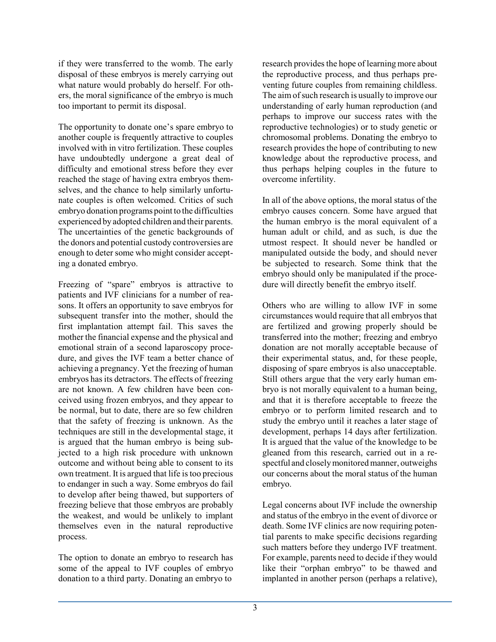if they were transferred to the womb. The early disposal of these embryos is merely carrying out what nature would probably do herself. For others, the moral significance of the embryo is much too important to permit its disposal.

The opportunity to donate one's spare embryo to another couple is frequently attractive to couples involved with in vitro fertilization. These couples have undoubtedly undergone a great deal of difficulty and emotional stress before they ever reached the stage of having extra embryos themselves, and the chance to help similarly unfortunate couples is often welcomed. Critics of such embryo donation programs point to the difficulties experienced by adopted children and their parents. The uncertainties of the genetic backgrounds of the donors and potential custody controversies are enough to deter some who might consider accepting a donated embryo.

Freezing of "spare" embryos is attractive to patients and IVF clinicians for a number of reasons. It offers an opportunity to save embryos for subsequent transfer into the mother, should the first implantation attempt fail. This saves the mother the financial expense and the physical and emotional strain of a second laparoscopy procedure, and gives the IVF team a better chance of achieving a pregnancy. Yet the freezing of human embryos has its detractors. The effects of freezing are not known. A few children have been conceived using frozen embryos, and they appear to be normal, but to date, there are so few children that the safety of freezing is unknown. As the techniques are still in the developmental stage, it is argued that the human embryo is being subjected to a high risk procedure with unknown outcome and without being able to consent to its own treatment. It is argued that life is too precious to endanger in such a way. Some embryos do fail to develop after being thawed, but supporters of freezing believe that those embryos are probably the weakest, and would be unlikely to implant themselves even in the natural reproductive process.

The option to donate an embryo to research has some of the appeal to IVF couples of embryo donation to a third party. Donating an embryo to

research provides the hope of learning more about the reproductive process, and thus perhaps preventing future couples from remaining childless. The aim of such research is usually to improve our understanding of early human reproduction (and perhaps to improve our success rates with the reproductive technologies) or to study genetic or chromosomal problems. Donating the embryo to research provides the hope of contributing to new knowledge about the reproductive process, and thus perhaps helping couples in the future to overcome infertility.

In all of the above options, the moral status of the embryo causes concern. Some have argued that the human embryo is the moral equivalent of a human adult or child, and as such, is due the utmost respect. It should never be handled or manipulated outside the body, and should never be subjected to research. Some think that the embryo should only be manipulated if the procedure will directly benefit the embryo itself.

Others who are willing to allow IVF in some circumstances would require that all embryos that are fertilized and growing properly should be transferred into the mother; freezing and embryo donation are not morally acceptable because of their experimental status, and, for these people, disposing of spare embryos is also unacceptable. Still others argue that the very early human embryo is not morally equivalent to a human being, and that it is therefore acceptable to freeze the embryo or to perform limited research and to study the embryo until it reaches a later stage of development, perhaps 14 days after fertilization. It is argued that the value of the knowledge to be gleaned from this research, carried out in a respectful and closelymonitored manner, outweighs our concerns about the moral status of the human embryo.

Legal concerns about IVF include the ownership and status of the embryo in the event of divorce or death. Some IVF clinics are now requiring potential parents to make specific decisions regarding such matters before they undergo IVF treatment. For example, parents need to decide if they would like their "orphan embryo" to be thawed and implanted in another person (perhaps a relative),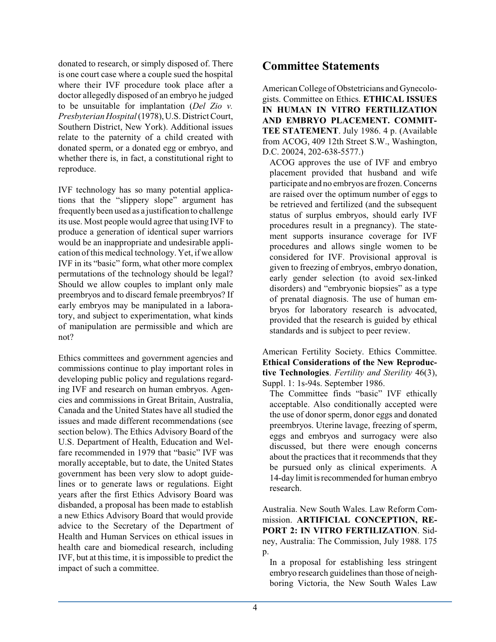donated to research, or simply disposed of. There is one court case where a couple sued the hospital where their IVF procedure took place after a doctor allegedly disposed of an embryo he judged to be unsuitable for implantation (*Del Zio v. Presbyterian Hospital*(1978),U.S. DistrictCourt, Southern District, New York). Additional issues relate to the paternity of a child created with donated sperm, or a donated egg or embryo, and whether there is, in fact, a constitutional right to reproduce.

IVF technology has so many potential applications that the "slippery slope" argument has frequently been used as a justification to challenge its use. Most people would agree that using IVF to produce a generation of identical super warriors would be an inappropriate and undesirable application ofthis medical technology. Yet, if we allow IVF in its "basic" form, what other more complex permutations of the technology should be legal? Should we allow couples to implant only male preembryos and to discard female preembryos? If early embryos may be manipulated in a laboratory, and subject to experimentation, what kinds of manipulation are permissible and which are not?

Ethics committees and government agencies and commissions continue to play important roles in developing public policy and regulations regarding IVF and research on human embryos. Agencies and commissions in Great Britain, Australia, Canada and the United States have all studied the issues and made different recommendations (see section below). The Ethics Advisory Board of the U.S. Department of Health, Education and Welfare recommended in 1979 that "basic" IVF was morally acceptable, but to date, the United States government has been very slow to adopt guidelines or to generate laws or regulations. Eight years after the first Ethics Advisory Board was disbanded, a proposal has been made to establish a new Ethics Advisory Board that would provide advice to the Secretary of the Department of Health and Human Services on ethical issues in health care and biomedical research, including IVF, but at this time, it is impossible to predict the impact of such a committee.

### **Committee Statements**

American College of Obstetricians and Gynecologists. Committee on Ethics. **ETHICAL ISSUES IN HUMAN IN VITRO FERTILIZATION AND EMBRYO PLACEMENT. COMMIT-TEE STATEMENT**. July 1986. 4 p. (Available from ACOG, 409 12th Street S.W., Washington, D.C. 20024, 202-638-5577.)

ACOG approves the use of IVF and embryo placement provided that husband and wife participate and no embryos are frozen. Concerns are raised over the optimum number of eggs to be retrieved and fertilized (and the subsequent status of surplus embryos, should early IVF procedures result in a pregnancy). The statement supports insurance coverage for IVF procedures and allows single women to be considered for IVF. Provisional approval is given to freezing of embryos, embryo donation, early gender selection (to avoid sex-linked disorders) and "embryonic biopsies" as a type of prenatal diagnosis. The use of human embryos for laboratory research is advocated, provided that the research is guided by ethical standards and is subject to peer review.

American Fertility Society. Ethics Committee. **Ethical Considerations of the New Reproductive Technologies**. *Fertility and Sterility* 46(3), Suppl. 1: 1s-94s. September 1986.

The Committee finds "basic" IVF ethically acceptable. Also conditionally accepted were the use of donor sperm, donor eggs and donated preembryos. Uterine lavage, freezing of sperm, eggs and embryos and surrogacy were also discussed, but there were enough concerns about the practices that it recommends that they be pursued only as clinical experiments. A 14-day limit is recommended for human embryo research.

Australia. New South Wales. Law Reform Commission. **ARTIFICIAL CONCEPTION, RE-PORT 2: IN VITRO FERTILIZATION**. Sidney, Australia: The Commission, July 1988. 175  $p_{\cdot}$ 

In a proposal for establishing less stringent embryo research guidelines than those of neighboring Victoria, the New South Wales Law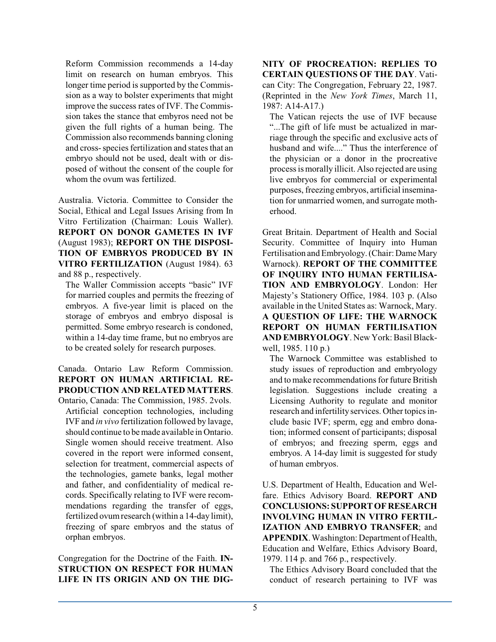Reform Commission recommends a 14-day limit on research on human embryos. This longer time period is supported by the Commission as a way to bolster experiments that might improve the success rates of IVF. The Commission takes the stance that embyros need not be given the full rights of a human being. The Commission also recommends banning cloning and cross-species fertilization and states that an embryo should not be used, dealt with or disposed of without the consent of the couple for whom the ovum was fertilized.

Australia. Victoria. Committee to Consider the Social, Ethical and Legal Issues Arising from In Vitro Fertilization (Chairman: Louis Waller). **REPORT ON DONOR GAMETES IN IVF** (August 1983); **REPORT ON THE DISPOSI-TION OF EMBRYOS PRODUCED BY IN VITRO FERTILIZATION** (August 1984). 63 and 88 p., respectively.

The Waller Commission accepts "basic" IVF for married couples and permits the freezing of embryos. A five-year limit is placed on the storage of embryos and embryo disposal is permitted. Some embryo research is condoned, within a 14-day time frame, but no embryos are to be created solely for research purposes.

Canada. Ontario Law Reform Commission. **REPORT ON HUMAN ARTIFICIAL RE-PRODUCTION AND RELATED MATTERS**.

Ontario, Canada: The Commission, 1985. 2vols. Artificial conception technologies, including IVF and *in vivo* fertilization followed by lavage, should continue to be made available in Ontario. Single women should receive treatment. Also covered in the report were informed consent, selection for treatment, commercial aspects of the technologies, gamete banks, legal mother and father, and confidentiality of medical records. Specifically relating to IVF were recommendations regarding the transfer of eggs, fertilized ovumresearch (within a 14-day limit), freezing of spare embryos and the status of orphan embryos.

Congregation for the Doctrine of the Faith. **IN-STRUCTION ON RESPECT FOR HUMAN LIFE IN ITS ORIGIN AND ON THE DIG-**

#### **NITY OF PROCREATION: REPLIES TO CERTAIN QUESTIONS OF THE DAY**. Vatican City: The Congregation, February 22, 1987. (Reprinted in the *New York Times*, March 11, 1987: A14-A17.)

The Vatican rejects the use of IVF because "...The gift of life must be actualized in marriage through the specific and exclusive acts of husband and wife...." Thus the interference of the physician or a donor in the procreative process is morally illicit. Also rejected are using live embryos for commercial or experimental purposes, freezing embryos, artificial insemination for unmarried women, and surrogate motherhood.

Great Britain. Department of Health and Social Security. Committee of Inquiry into Human Fertilisation and Embryology. (Chair: Dame Mary Warnock). **REPORT OF THE COMMITTEE OF INQUIRY INTO HUMAN FERTILISA-TION AND EMBRYOLOGY**. London: Her Majesty's Stationery Office, 1984. 103 p. (Also available in the United States as: Warnock, Mary. **A QUESTION OF LIFE: THE WARNOCK REPORT ON HUMAN FERTILISATION AND EMBRYOLOGY**. New York: Basil Blackwell, 1985. 110 p.)

The Warnock Committee was established to study issues of reproduction and embryology and to make recommendations for future British legislation. Suggestions include creating a Licensing Authority to regulate and monitor research and infertility services. Other topics include basic IVF; sperm, egg and embro donation; informed consent of participants; disposal of embryos; and freezing sperm, eggs and embryos. A 14-day limit is suggested for study of human embryos.

U.S. Department of Health, Education and Welfare. Ethics Advisory Board. **REPORT AND CONCLUSIONS: SUPPORT OF RESEARCH INVOLVING HUMAN IN VITRO FERTIL-IZATION AND EMBRYO TRANSFER**; and **APPENDIX**. Washington: Department of Health, Education and Welfare, Ethics Advisory Board, 1979. 114 p. and 766 p., respectively.

The Ethics Advisory Board concluded that the conduct of research pertaining to IVF was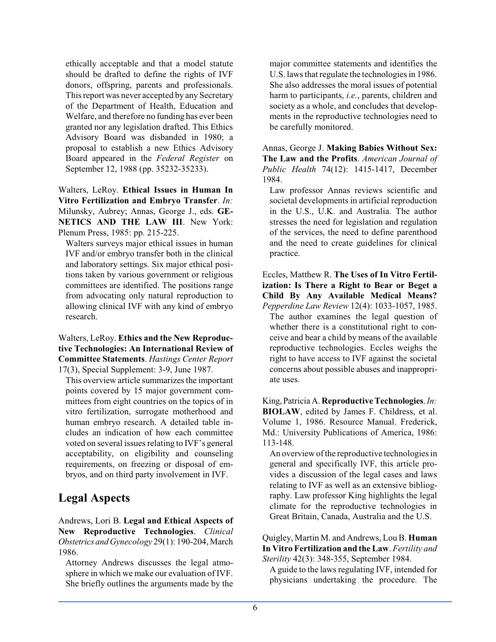ethically acceptable and that a model statute should be drafted to define the rights of IVF donors, offspring, parents and professionals. This report was never accepted by any Secretary of the Department of Health, Education and Welfare, and therefore no funding has ever been granted nor any legislation drafted. This Ethics Advisory Board was disbanded in 1980; a proposal to establish a new Ethics Advisory Board appeared in the *Federal Register* on September 12, 1988 (pp. 35232-35233).

Walters, LeRoy. **Ethical Issues in Human In Vitro Fertilization and Embryo Transfer**. *In:* Milunsky, Aubrey; Annas, George J., eds. **GE-NETICS AND THE LAW III**. New York: Plenum Press, 1985: pp. 215-225.

Walters surveys major ethical issues in human IVF and/or embryo transfer both in the clinical and laboratory settings. Six major ethical positions taken by various government or religious committees are identified. The positions range from advocating only natural reproduction to allowing clinical IVF with any kind of embryo research.

Walters, LeRoy. **Ethics and the New Reproductive Technologies: An International Review of Committee Statements**. *Hastings Center Report* 17(3), Special Supplement: 3-9, June 1987.

This overview article summarizes the important points covered by 15 major government committees from eight countries on the topics of in vitro fertilization, surrogate motherhood and human embryo research. A detailed table includes an indication of how each committee voted on several issues relating to IVF's general acceptability, on eligibility and counseling requirements, on freezing or disposal of embryos, and on third party involvement in IVF.

### **Legal Aspects**

Andrews, Lori B. **Legal and Ethical Aspects of New Reproductive Technologies**. *Clinical Obstetrics andGynecology* 29(1): 190-204, March 1986.

Attorney Andrews discusses the legal atmosphere in which we make our evaluation of IVF. She briefly outlines the arguments made by the

major committee statements and identifies the U.S. laws that regulate the technologies in 1986. She also addresses the moral issues of potential harm to participants, *i.e.*, parents, children and society as a whole, and concludes that developments in the reproductive technologies need to be carefully monitored.

Annas, George J. **Making Babies Without Sex: The Law and the Profits**. *American Journal of Public Health* 74(12): 1415-1417, December 1984.

Law professor Annas reviews scientific and societal developments in artificial reproduction in the U.S., U.K. and Australia. The author stresses the need for legislation and regulation of the services, the need to define parenthood and the need to create guidelines for clinical practice.

Eccles, Matthew R. **The Uses of In Vitro Fertilization: Is There a Right to Bear or Beget a Child By Any Available Medical Means?** *Pepperdine Law Review* 12(4): 1033-1057, 1985.

The author examines the legal question of whether there is a constitutional right to conceive and bear a child by means of the available reproductive technologies. Eccles weighs the right to have access to IVF against the societal concerns about possible abuses and inappropriate uses.

King,Patricia A. **Reproductive Technologies**.*In:* **BIOLAW**, edited by James F. Childress, et al. Volume 1, 1986. Resource Manual. Frederick, Md.: University Publications of America, 1986: 113-148.

An overview ofthe reproductive technologies in general and specifically IVF, this article provides a discussion of the legal cases and laws relating to IVF as well as an extensive bibliography. Law professor King highlights the legal climate for the reproductive technologies in Great Britain, Canada, Australia and the U.S.

Quigley, Martin M. and Andrews, Lou B. **Human In Vitro Fertilization and the Law**. *Fertility and Sterility* 42(3): 348-355, September 1984.

A guide to the laws regulating IVF, intended for physicians undertaking the procedure. The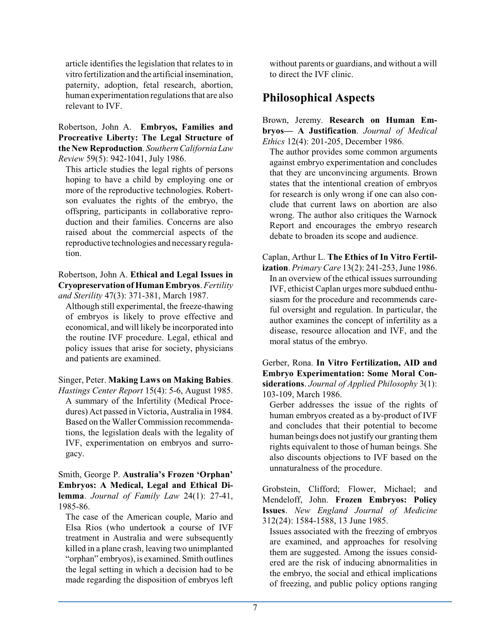article identifies the legislation that relates to in vitro fertilization and the artificial insemination, paternity, adoption, fetal research, abortion, human experimentation regulations that are also relevant to IVF.

Robertson, John A. **Embryos, Families and Procreative Liberty: The Legal Structure of the New Reproduction**. *Southern CaliforniaLaw Review* 59(5): 942-1041, July 1986.

This article studies the legal rights of persons hoping to have a child by employing one or more of the reproductive technologies. Robertson evaluates the rights of the embryo, the offspring, participants in collaborative reproduction and their families. Concerns are also raised about the commercial aspects of the reproductive technologies and necessary regulation.

Robertson, John A. **Ethical and Legal Issues in Cryopreservation of Human Embryos**. *Fertility and Sterility* 47(3): 371-381, March 1987.

Although still experimental, the freeze-thawing of embryos is likely to prove effective and economical, and will likely be incorporated into the routine IVF procedure. Legal, ethical and policy issues that arise for society, physicians and patients are examined.

Singer, Peter. **Making Laws on Making Babies**. *Hastings Center Report* 15(4): 5-6, August 1985. A summary of the Infertility (Medical Procedures) Act passed in Victoria, Australia in 1984. Based on the Waller Commission recommendations, the legislation deals with the legality of IVF, experimentation on embryos and surrogacy.

Smith, George P. **Australia's Frozen 'Orphan' Embryos: A Medical, Legal and Ethical Dilemma**. *Journal of Family Law* 24(1): 27-41, 1985-86.

The case of the American couple, Mario and Elsa Rios (who undertook a course of IVF treatment in Australia and were subsequently killed in a plane crash, leaving two unimplanted "orphan" embryos), is examined. Smith outlines the legal setting in which a decision had to be made regarding the disposition of embryos left

without parents or guardians, and without a will to direct the IVF clinic.

## **Philosophical Aspects**

Brown, Jeremy. **Research on Human Embryos— A Justification**. *Journal of Medical Ethics* 12(4): 201-205, December 1986.

The author provides some common arguments against embryo experimentation and concludes that they are unconvincing arguments. Brown states that the intentional creation of embryos for research is only wrong if one can also conclude that current laws on abortion are also wrong. The author also critiques the Warnock Report and encourages the embryo research debate to broaden its scope and audience.

Caplan, Arthur L. **The Ethics of In Vitro Fertilization**. *Primary Care* 13(2): 241-253, June 1986. In an overview of the ethical issues surrounding IVF, ethicist Caplan urges more subdued enthusiasm for the procedure and recommends careful oversight and regulation. In particular, the author examines the concept of infertility as a disease, resource allocation and IVF, and the moral status of the embryo.

Gerber, Rona. **In Vitro Fertilization, AID and Embryo Experimentation: Some Moral Considerations**. *Journal of Applied Philosophy* 3(1): 103-109, March 1986.

Gerber addresses the issue of the rights of human embryos created as a by-product of IVF and concludes that their potential to become human beings does not justify our granting them rights equivalent to those of human beings. She also discounts objections to IVF based on the unnaturalness of the procedure.

Grobstein, Clifford; Flower, Michael; and Mendeloff, John. **Frozen Embryos: Policy Issues**. *New England Journal of Medicine* 312(24): 1584-1588, 13 June 1985.

Issues associated with the freezing of embryos are examined, and approaches for resolving them are suggested. Among the issues considered are the risk of inducing abnormalities in the embryo, the social and ethical implications of freezing, and public policy options ranging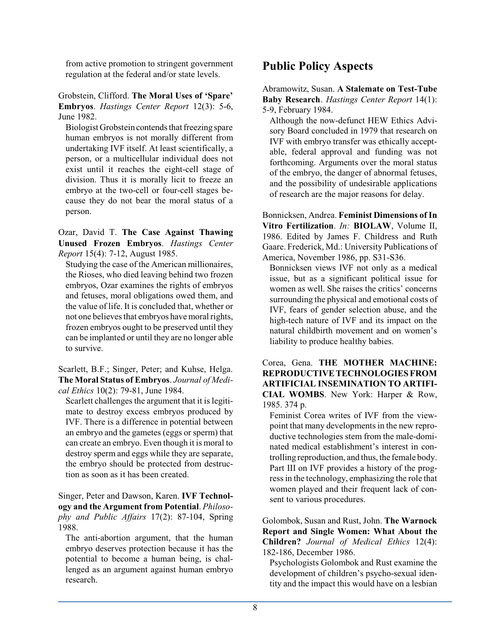from active promotion to stringent government regulation at the federal and/or state levels.

#### Grobstein, Clifford. **The Moral Uses of 'Spare' Embryos**. *Hastings Center Report* 12(3): 5-6, June 1982.

Biologist Grobstein contends that freezing spare human embryos is not morally different from undertaking IVF itself. At least scientifically, a person, or a multicellular individual does not exist until it reaches the eight-cell stage of division. Thus it is morally licit to freeze an embryo at the two-cell or four-cell stages because they do not bear the moral status of a person.

Ozar, David T. **The Case Against Thawing Unused Frozen Embryos**. *Hastings Center Report* 15(4): 7-12, August 1985.

Studying the case of the American millionaires, the Rioses, who died leaving behind two frozen embryos, Ozar examines the rights of embryos and fetuses, moral obligations owed them, and the value of life. It is concluded that, whether or not one believes that embryos have moral rights, frozen embryos ought to be preserved until they can be implanted or until they are no longer able to survive.

Scarlett, B.F.; Singer, Peter; and Kuhse, Helga. **The Moral Status of Embryos**. *Journal of Medical Ethics* 10(2): 79-81, June 1984.

Scarlett challenges the argument that it is legitimate to destroy excess embryos produced by IVF. There is a difference in potential between an embryo and the gametes (eggs or sperm) that can create an embryo. Even though it is moral to destroy sperm and eggs while they are separate, the embryo should be protected from destruction as soon as it has been created.

Singer, Peter and Dawson, Karen. **IVF Technology and the Argument from Potential**. *Philosophy and Public Affairs* 17(2): 87-104, Spring 1988.

The anti-abortion argument, that the human embryo deserves protection because it has the potential to become a human being, is challenged as an argument against human embryo research.

# **Public Policy Aspects**

Abramowitz, Susan. **A Stalemate on Test-Tube Baby Research**. *Hastings Center Report* 14(1): 5-9, February 1984.

Although the now-defunct HEW Ethics Advisory Board concluded in 1979 that research on IVF with embryo transfer was ethically acceptable, federal approval and funding was not forthcoming. Arguments over the moral status of the embryo, the danger of abnormal fetuses, and the possibility of undesirable applications of research are the major reasons for delay.

Bonnicksen, Andrea. **Feminist Dimensions of In Vitro Fertilization**. *In:* **BIOLAW**, Volume II, 1986. Edited by James F. Childress and Ruth Gaare. Frederick, Md.: University Publications of America, November 1986, pp. S31-S36.

Bonnicksen views IVF not only as a medical issue, but as a significant political issue for women as well. She raises the critics' concerns surrounding the physical and emotional costs of IVF, fears of gender selection abuse, and the high-tech nature of IVF and its impact on the natural childbirth movement and on women's liability to produce healthy babies.

Corea, Gena. **THE MOTHER MACHINE: REPRODUCTIVE TECHNOLOGIES FROM ARTIFICIAL INSEMINATION TO ARTIFI-CIAL WOMBS**. New York: Harper & Row, 1985. 374 p.

Feminist Corea writes of IVF from the viewpoint that many developments in the new reproductive technologies stem from the male-dominated medical establishment's interest in controlling reproduction, and thus, the female body. Part III on IVF provides a history of the progress in the technology, emphasizing the role that women played and their frequent lack of consent to various procedures.

Golombok, Susan and Rust, John. **The Warnock Report and Single Women: What About the Children?** *Journal of Medical Ethics* 12(4): 182-186, December 1986.

Psychologists Golombok and Rust examine the development of children's psycho-sexual identity and the impact this would have on a lesbian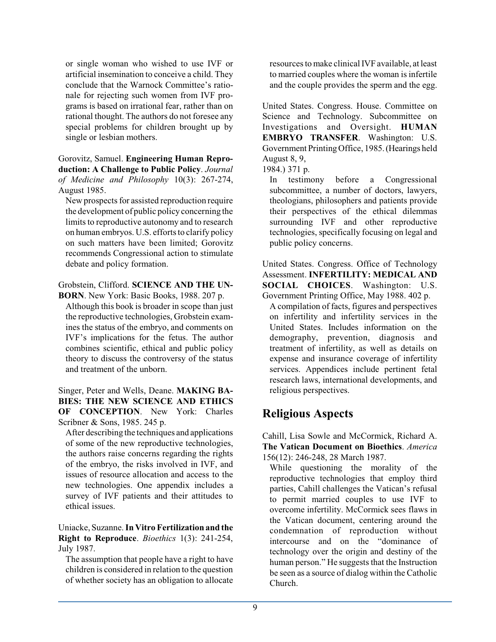or single woman who wished to use IVF or artificial insemination to conceive a child. They conclude that the Warnock Committee's rationale for rejecting such women from IVF programs is based on irrational fear, rather than on rational thought. The authors do not foresee any special problems for children brought up by single or lesbian mothers.

Gorovitz, Samuel. **Engineering Human Reproduction: A Challenge to Public Policy**. *Journal of Medicine and Philosophy* 10(3): 267-274, August 1985.

New prospects for assisted reproduction require the development of public policy concerning the limits to reproductive autonomy and to research on human embryos. U.S. efforts to clarify policy on such matters have been limited; Gorovitz recommends Congressional action to stimulate debate and policy formation.

Grobstein, Clifford. **SCIENCE AND THE UN-BORN**. New York: Basic Books, 1988. 207 p.

Although this book is broader in scope than just the reproductive technologies, Grobstein examines the status of the embryo, and comments on IVF's implications for the fetus. The author combines scientific, ethical and public policy theory to discuss the controversy of the status and treatment of the unborn.

Singer, Peter and Wells, Deane. **MAKING BA-BIES: THE NEW SCIENCE AND ETHICS OF CONCEPTION**. New York: Charles Scribner & Sons, 1985. 245 p.

After describing the techniques and applications of some of the new reproductive technologies, the authors raise concerns regarding the rights of the embryo, the risks involved in IVF, and issues of resource allocation and access to the new technologies. One appendix includes a survey of IVF patients and their attitudes to ethical issues.

Uniacke, Suzanne. **In Vitro Fertilization and the Right to Reproduce**. *Bioethics* 1(3): 241-254, July 1987.

The assumption that people have a right to have children is considered in relation to the question of whether society has an obligation to allocate resources to make clinicalIVF available, at least to married couples where the woman is infertile and the couple provides the sperm and the egg.

United States. Congress. House. Committee on Science and Technology. Subcommittee on Investigations and Oversight. **HUMAN EMBRYO TRANSFER**. Washington: U.S. Government PrintingOffice, 1985.(Hearings held August 8, 9,

1984.) 371 p.

In testimony before a Congressional subcommittee, a number of doctors, lawyers, theologians, philosophers and patients provide their perspectives of the ethical dilemmas surrounding IVF and other reproductive technologies, specifically focusing on legal and public policy concerns.

United States. Congress. Office of Technology Assessment. **INFERTILITY: MEDICAL AND SOCIAL CHOICES**. Washington: U.S. Government Printing Office, May 1988. 402 p.

A compilation of facts, figures and perspectives on infertility and infertility services in the United States. Includes information on the demography, prevention, diagnosis and treatment of infertility, as well as details on expense and insurance coverage of infertility services. Appendices include pertinent fetal research laws, international developments, and religious perspectives.

# **Religious Aspects**

Cahill, Lisa Sowle and McCormick, Richard A. **The Vatican Document on Bioethics**. *America* 156(12): 246-248, 28 March 1987.

While questioning the morality of the reproductive technologies that employ third parties, Cahill challenges the Vatican's refusal to permit married couples to use IVF to overcome infertility. McCormick sees flaws in the Vatican document, centering around the condemnation of reproduction without intercourse and on the "dominance of technology over the origin and destiny of the human person." He suggests that the Instruction be seen as a source of dialog within the Catholic Church.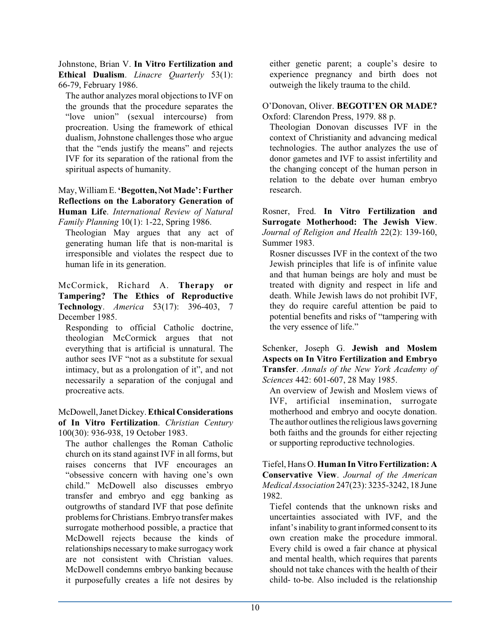Johnstone, Brian V. **In Vitro Fertilization and Ethical Dualism**. *Linacre Quarterly* 53(1): 66-79, February 1986.

The author analyzes moral objections to IVF on the grounds that the procedure separates the "love union" (sexual intercourse) from procreation. Using the framework of ethical dualism, Johnstone challenges those who argue that the "ends justify the means" and rejects IVF for its separation of the rational from the spiritual aspects of humanity.

May, WilliamE. **'Begotten, Not Made': Further Reflections on the Laboratory Generation of Human Life**. *International Review of Natural Family Planning* 10(1): 1-22, Spring 1986.

Theologian May argues that any act of generating human life that is non-marital is irresponsible and violates the respect due to human life in its generation.

McCormick, Richard A. **Therapy or Tampering? The Ethics of Reproductive Technology**. *America* 53(17): 396-403, 7 December 1985.

Responding to official Catholic doctrine, theologian McCormick argues that not everything that is artificial is unnatural. The author sees IVF "not as a substitute for sexual intimacy, but as a prolongation of it", and not necessarily a separation of the conjugal and procreative acts.

McDowell,Janet Dickey. **Ethical Considerations of In Vitro Fertilization**. *Christian Century* 100(30): 936-938, 19 October 1983.

The author challenges the Roman Catholic church on its stand against IVF in all forms, but raises concerns that IVF encourages an "obsessive concern with having one's own child." McDowell also discusses embryo transfer and embryo and egg banking as outgrowths of standard IVF that pose definite problems forChristians. Embryo transfer makes surrogate motherhood possible, a practice that McDowell rejects because the kinds of relationships necessary to make surrogacy work are not consistent with Christian values. McDowell condemns embryo banking because it purposefully creates a life not desires by

either genetic parent; a couple's desire to experience pregnancy and birth does not outweigh the likely trauma to the child.

O'Donovan, Oliver. **BEGOTI'EN OR MADE?** Oxford: Clarendon Press, 1979. 88 p.

Theologian Donovan discusses IVF in the context of Christianity and advancing medical technologies. The author analyzes the use of donor gametes and IVF to assist infertility and the changing concept of the human person in relation to the debate over human embryo research.

Rosner, Fred. **In Vitro Fertilization and Surrogate Motherhood: The Jewish View**. *Journal of Religion and Health* 22(2): 139-160, Summer 1983.

Rosner discusses IVF in the context of the two Jewish principles that life is of infinite value and that human beings are holy and must be treated with dignity and respect in life and death. While Jewish laws do not prohibit IVF, they do require careful attention be paid to potential benefits and risks of "tampering with the very essence of life."

Schenker, Joseph G. **Jewish and Moslem Aspects on In Vitro Fertilization and Embryo Transfer**. *Annals of the New York Academy of Sciences* 442: 601-607, 28 May 1985.

An overview of Jewish and Moslem views of IVF, artificial insemination, surrogate motherhood and embryo and oocyte donation. The author outlines the religious laws governing both faiths and the grounds for either rejecting or supporting reproductive technologies.

Tiefel, Hans O. **Human In Vitro Fertilization: A Conservative View**. *Journal of the American Medical Association* 247(23): 3235-3242, 18 June 1982.

Tiefel contends that the unknown risks and uncertainties associated with IVF, and the infant's inability to grant informed consent to its own creation make the procedure immoral. Every child is owed a fair chance at physical and mental health, which requires that parents should not take chances with the health of their child- to-be. Also included is the relationship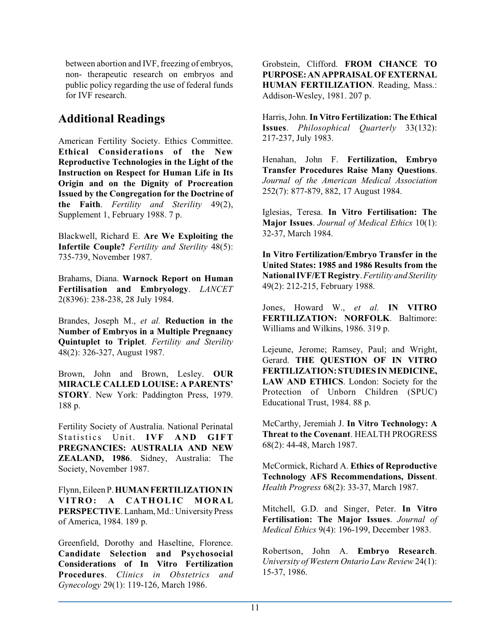between abortion and IVF, freezing of embryos, non- therapeutic research on embryos and public policy regarding the use of federal funds for IVF research.

#### **Additional Readings**

American Fertility Society. Ethics Committee. **Ethical Considerations of the New Reproductive Technologies in the Light of the Instruction on Respect for Human Life in Its Origin and on the Dignity of Procreation Issued by the Congregation for the Doctrine of the Faith**. *Fertility and Sterility* 49(2), Supplement 1, February 1988. 7 p.

Blackwell, Richard E. **Are We Exploiting the Infertile Couple?** *Fertility and Sterility* 48(5): 735-739, November 1987.

Brahams, Diana. **Warnock Report on Human Fertilisation and Embryology**. *LANCET* 2(8396): 238-238, 28 July 1984.

Brandes, Joseph M., *et al.* **Reduction in the Number of Embryos in a Multiple Pregnancy Quintuplet to Triplet**. *Fertility and Sterility* 48(2): 326-327, August 1987.

Brown, John and Brown, Lesley. **OUR MIRACLE CALLED LOUISE: A PARENTS' STORY**. New York: Paddington Press, 1979. 188 p.

Fertility Society of Australia. National Perinatal Statistics Unit. **IVF AND GIFT PREGNANCIES: AUSTRALIA AND NEW ZEALAND, 1986**. Sidney, Australia: The Society, November 1987.

Flynn, Eileen P.**HUMANFERTILIZATION IN VITRO: A CATHOLIC MORAL** PERSPECTIVE. Lanham, Md.: University Press of America, 1984. 189 p.

Greenfield, Dorothy and Haseltine, Florence. **Candidate Selection and Psychosocial Considerations of In Vitro Fertilization Procedures**. *Clinics in Obstetrics and Gynecology* 29(1): 119-126, March 1986.

Grobstein, Clifford. **FROM CHANCE TO PURPOSE:AN APPRAISAL OFEXTERNAL HUMAN FERTILIZATION**. Reading, Mass.: Addison-Wesley, 1981. 207 p.

Harris, John. **In Vitro Fertilization: The Ethical Issues**. *Philosophical Quarterly* 33(132): 217-237, July 1983.

Henahan, John F. **Fertilization, Embryo Transfer Procedures Raise Many Questions**. *Journal of the American Medical Association* 252(7): 877-879, 882, 17 August 1984.

Iglesias, Teresa. **In Vitro Fertilisation: The Major Issues**. *Journal of Medical Ethics* 10(1): 32-37, March 1984.

**In Vitro Fertilization/Embryo Transfer in the United States: 1985 and 1986 Results from the NationalIVF/ET Registry**. *Fertility and Sterility* 49(2): 212-215, February 1988.

Jones, Howard W., *et al.* **IN VITRO FERTILIZATION: NORFOLK**. Baltimore: Williams and Wilkins, 1986. 319 p.

Lejeune, Jerome; Ramsey, Paul; and Wright, Gerard. **THE QUESTION OF IN VITRO FERTILIZATION: STUDIES IN MEDICINE, LAW AND ETHICS**. London: Society for the Protection of Unborn Children (SPUC) Educational Trust, 1984. 88 p.

McCarthy, Jeremiah J. **In Vitro Technology: A Threat to the Covenant**. HEALTH PROGRESS 68(2): 44-48, March 1987.

McCormick, Richard A. **Ethics of Reproductive Technology AFS Recommendations, Dissent**. *Health Progress* 68(2): 33-37, March 1987.

Mitchell, G.D. and Singer, Peter. **In Vitro Fertilisation: The Major Issues**. *Journal of Medical Ethics* 9(4): 196-199, December 1983.

Robertson, John A. **Embryo Research**. *University of Western Ontario Law Review* 24(1): 15-37, 1986.